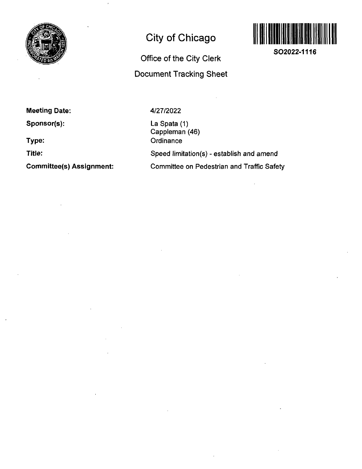

## **City of Chicago**

# **Office of the City Clerk Document Tracking Sheet**



**SO2022-1116** 

**Meeting Date:** 

**Sponsor(s):** 

**Type:** 

**Title:** 

**Committee(s) Assignment:** 

**4/27/2022** 

La Spata (1) Cappleman (46) **Ordinance** Speed limitation(s) - establish and amend Committee on Pedestrian and Traffic Safety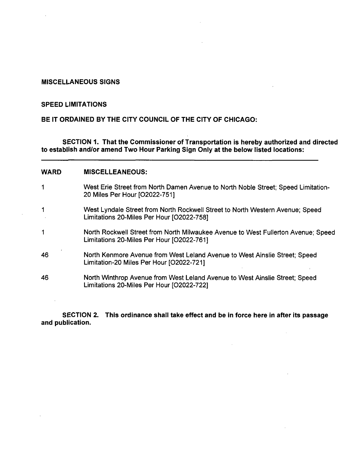## **MISCELLANEOUS SIGNS**

### **SPEED LIMITATIONS**

 $\Delta \phi$ 

**BE IT ORDAINED BY THE CITY COUNCIL OF THE CITY OF CHICAGO:** 

**SECTION 1. That the Commissioner ofTransportation is hereby authorized and directed to establish and/or amend Two Hour Parking Sign Only at the below listed locations:** 

#### **WARD MISCELLEANEOUS:**

| 1  | West Erie Street from North Damen Avenue to North Noble Street; Speed Limitation-<br>20 Miles Per Hour [O2022-751]             |
|----|--------------------------------------------------------------------------------------------------------------------------------|
| 1  | West Lyndale Street from North Rockwell Street to North Western Avenue; Speed<br>Limitations 20-Miles Per Hour [O2022-758]     |
| 1  | North Rockwell Street from North Milwaukee Avenue to West Fullerton Avenue; Speed<br>Limitations 20-Miles Per Hour [O2022-761] |
| 46 | North Kenmore Avenue from West Leland Avenue to West Ainslie Street; Speed<br>Limitation-20 Miles Per Hour [O2022-721]         |
| 46 | North Winthrop Avenue from West Leland Avenue to West Ainslie Street; Speed<br>Limitations 20-Miles Per Hour [O2022-722]       |

**SECTION 2. This ordinance shall take effect and be in force here in after its passage and publication.** 

 $\sim$ 

 $\sim 10^{-1}$